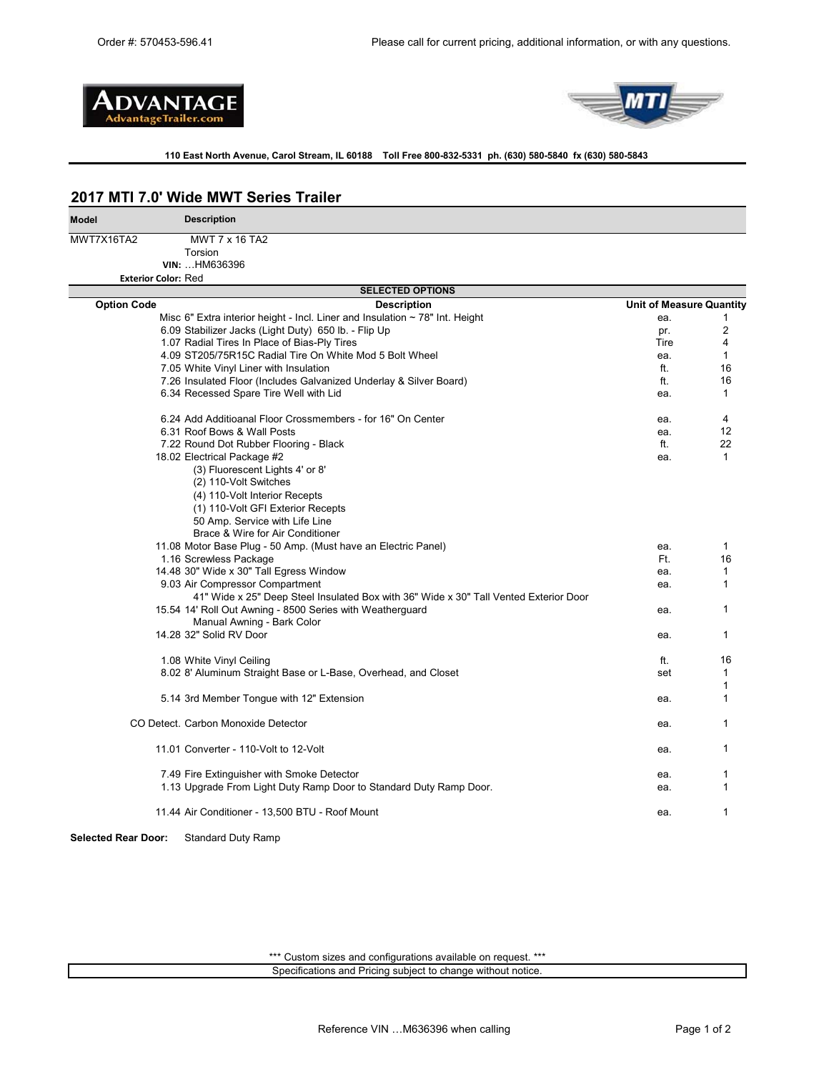



### **110 East North Avenue, Carol Stream, IL 60188 Toll Free 800-832-5331 ph. (630) 580-5840 fx (630) 580-5843**

### **2017 MTI 7.0' Wide MWT Series Trailer**

| <b>Model</b>               | <b>Description</b>                                                                    |                                 |              |
|----------------------------|---------------------------------------------------------------------------------------|---------------------------------|--------------|
| MWT7X16TA2                 | MWT 7 x 16 TA2                                                                        |                                 |              |
|                            | Torsion                                                                               |                                 |              |
|                            | VIN:  HM636396                                                                        |                                 |              |
| <b>Exterior Color: Red</b> |                                                                                       |                                 |              |
|                            | <b>SELECTED OPTIONS</b>                                                               |                                 |              |
| <b>Option Code</b>         | <b>Description</b>                                                                    | <b>Unit of Measure Quantity</b> |              |
|                            | Misc 6" Extra interior height - Incl. Liner and Insulation $\sim$ 78" Int. Height     | ea.                             | 1            |
|                            | 6.09 Stabilizer Jacks (Light Duty) 650 lb. - Flip Up                                  | pr.                             | 2            |
|                            | 1.07 Radial Tires In Place of Bias-Ply Tires                                          | Tire                            | 4            |
|                            | 4.09 ST205/75R15C Radial Tire On White Mod 5 Bolt Wheel                               | ea.                             | 1            |
|                            | 7.05 White Vinyl Liner with Insulation                                                | ft.                             | 16           |
|                            | 7.26 Insulated Floor (Includes Galvanized Underlay & Silver Board)                    | ft.                             | 16           |
|                            | 6.34 Recessed Spare Tire Well with Lid                                                | ea.                             | 1            |
|                            | 6.24 Add Additioanal Floor Crossmembers - for 16" On Center                           | ea.                             | 4            |
|                            | 6.31 Roof Bows & Wall Posts                                                           | ea.                             | 12           |
|                            | 7.22 Round Dot Rubber Flooring - Black                                                | ft.                             | 22           |
|                            | 18.02 Electrical Package #2                                                           | ea.                             | $\mathbf{1}$ |
|                            | (3) Fluorescent Lights 4' or 8'                                                       |                                 |              |
|                            | (2) 110-Volt Switches                                                                 |                                 |              |
|                            | (4) 110-Volt Interior Recepts                                                         |                                 |              |
|                            | (1) 110-Volt GFI Exterior Recepts                                                     |                                 |              |
|                            | 50 Amp. Service with Life Line                                                        |                                 |              |
|                            | Brace & Wire for Air Conditioner                                                      |                                 |              |
|                            | 11.08 Motor Base Plug - 50 Amp. (Must have an Electric Panel)                         | ea.                             | 1            |
|                            | 1.16 Screwless Package                                                                | Ft.                             | 16           |
|                            | 14.48 30" Wide x 30" Tall Egress Window                                               | ea.                             | 1            |
|                            | 9.03 Air Compressor Compartment                                                       | ea.                             | 1            |
|                            | 41" Wide x 25" Deep Steel Insulated Box with 36" Wide x 30" Tall Vented Exterior Door |                                 |              |
|                            | 15.54 14' Roll Out Awning - 8500 Series with Weatherguard                             | ea.                             | 1            |
|                            | Manual Awning - Bark Color                                                            |                                 |              |
|                            | 14.28 32" Solid RV Door                                                               | ea.                             | 1            |
|                            |                                                                                       |                                 |              |
|                            | 1.08 White Vinyl Ceiling                                                              | ft.                             | 16           |
|                            | 8.02 8' Aluminum Straight Base or L-Base, Overhead, and Closet                        | set                             | 1            |
|                            |                                                                                       |                                 | 1            |
|                            | 5.14 3rd Member Tongue with 12" Extension                                             | ea.                             | 1            |
|                            | CO Detect. Carbon Monoxide Detector                                                   | ea.                             | 1            |
|                            |                                                                                       |                                 |              |
|                            | 11.01 Converter - 110-Volt to 12-Volt                                                 | ea.                             | 1            |
|                            | 7.49 Fire Extinguisher with Smoke Detector                                            | ea.                             | 1            |
|                            | 1.13 Upgrade From Light Duty Ramp Door to Standard Duty Ramp Door.                    | ea.                             | 1            |
|                            | 11.44 Air Conditioner - 13,500 BTU - Roof Mount                                       | ea.                             | 1            |
| <b>Selected Rear Door:</b> | <b>Standard Duty Ramp</b>                                                             |                                 |              |

\*\*\* Custom sizes and configurations available on request. \*\*\* Specifications and Pricing subject to change without notice.